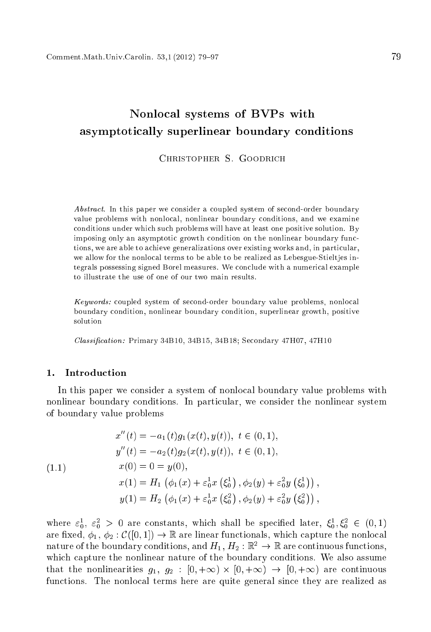# Nonlo
al systems of BVPs with asymptotically superlinear boundary conditions

CHRISTOPHER S. GOODBICH

Abstract. In this paper we consider a coupled system of second-order boundary value problems with nonlo
al, nonlinear boundary onditions, and we examine onditions under whi
h su
h problems will have at least one positive solution. By imposing only an asymptotic growth condition on the nonlinear boundary functions, we are able to achieve generalizations over existing works and, in particular, we allow for the nonlo
al terms to be able to be realized as Lebesgue-Stieltjes integrals possessing signed Borel measures. We conclude with a numerical example to illustrate the use of one of our two main results.

Keywords: coupled system of second-order boundary value problems, nonlocal boundary ondition, nonlinear boundary ondition, superlinear growth, positive solution

Classification: Primary 34B10, 34B15, 34B18; Secondary 47H07, 47H10

# 1. Introduction

In this paper we onsider a system of nonlo
al boundary value problems with nonlinear boundary conditions. In particular, we consider the nonlinear system of boundary value problems

(1.1)  
\n
$$
x''(t) = -a_1(t)g_1(x(t), y(t)), \ t \in (0, 1),
$$
\n
$$
y''(t) = -a_2(t)g_2(x(t), y(t)), \ t \in (0, 1),
$$
\n
$$
x(0) = 0 = y(0),
$$
\n
$$
x(1) = H_1(\phi_1(x) + \varepsilon_0^1 x(\xi_0^1), \phi_2(y) + \varepsilon_0^2 y(\xi_0^1)),
$$
\n
$$
y(1) = H_2(\phi_1(x) + \varepsilon_0^1 x(\xi_0^2), \phi_2(y) + \varepsilon_0^2 y(\xi_0^2)),
$$

where  $\varepsilon_0^2$ ,  $\varepsilon_0^2 > 0$  are constants, which shall be specified fatter,  $\zeta_0^2, \zeta_0^2 \in (0,1)$ are fixed,  $\phi_1, \phi_2 : \mathcal{C}([0,1]) \to \mathbb{R}$  are linear functionals, which capture the nonlocal nature of the boundary conditions, and  $H_1, H_2 : \mathbb{R}^2 \to \mathbb{R}$  are continuous functions, which capture the nonlinear nature of the boundary conditions. We also assume that the non-linearities g1, g2 : [0; +1] . [0; +1] . [0; +1] . [0; +1] . [1] . [1] . [1] . [1] . [1] . [1] . [ functions. The nonlocal terms here are quite general since they are realized as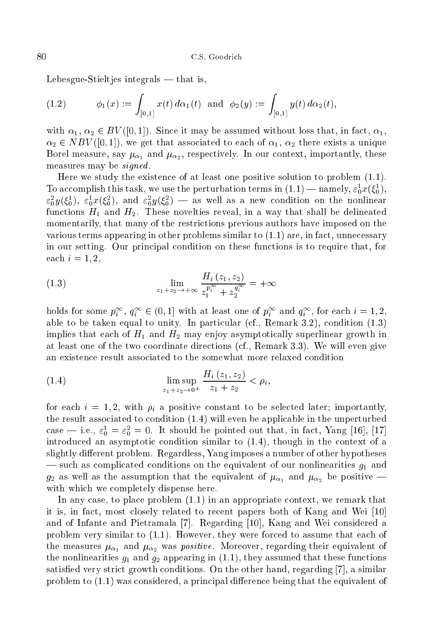Lebesgue-Stieltjes integrals  $-$  that is,

(1.2) 
$$
\phi_1(x) := \int_{[0,1]} x(t) \, d\alpha_1(t) \text{ and } \phi_2(y) := \int_{[0,1]} y(t) \, d\alpha_2(t),
$$

with  $\alpha_1, \alpha_2 \in BV([0,1])$ . Since it may be assumed without loss that, in fact,  $\alpha_1$ ,  $\alpha_2 \in NBV([0,1]),$  we get that associated to each of  $\alpha_1, \alpha_2$  there exists a unique Borel measure, say  $\mu_{\alpha_1}$  and  $\mu_{\alpha_2}$ , respectively. In our context, importantly, these measures may be *signed*.

Here we study the existen
e of at least one positive solution to problem (1.1). To accomplish this task, we use the perturbation terms in  $(1.1)$  — hamely,  $\varepsilon_0 x(\zeta_0)$ ,  $\varepsilon_{0}^{z}y(\xi_{0}^{z}),\; \varepsilon_{0}^{z}x(\xi_{0}^{z}),\; \text{and}\; \varepsilon_{0}^{z}y(\xi_{0}^{z})\;$  — as well as a new condition on the nonlinear functions  $H_1$  and  $H_2$ . These novelties reveal, in a way that shall be delineated momentarily, that many of the restri
tions previous authors have imposed on the various terms appearing in other problems similar to  $(1.1)$  are, in fact, unnecessary in our setting. Our prin
ipal ondition on these fun
tions is to require that, for each  $i = 1, 2$ ,

(1.3) 
$$
\lim_{z_1 + z_2 \to +\infty} \frac{H_i(z_1, z_2)}{z_1^{p_i^{\infty}} + z_2^{q_i^{\infty}}} = +\infty
$$

holds for some  $p_i^*$ ,  $q_i^* \in (0,1]$  with at least one of  $p_i^*$  and  $q_i^*$ , for each  $i = 1, 2,$ able to be taken equal to unity. In particular (cf., Remark 3.2), condition  $(1.3)$ implies that each of  $H_1$  and  $H_2$  may enjoy asymptotically superlinear growth in at least one of the two oordinate dire
tions (
f., Remark 3.3). We will even give an existen
e result asso
iated to the somewhat more relaxed ondition

(1.4) 
$$
\limsup_{z_1+z_2 \to 0^+} \frac{H_i(z_1, z_2)}{z_1 + z_2} < \rho_i,
$$

for each  $i = 1, 2$ , with  $\rho_i$  a positive constant to be selected later; importantly, the result asso
iated to ondition (1.4) will even be appli
able in the unperturbed case  $=$  i.e.,  $\varepsilon_0 = \varepsilon_0 = 0$ . It should be pointed out that, in fact, rang [10], [17] introduced an asymptotic condition similar to  $(1.4)$ , though in the context of a slightly different problem. Regardless, Yang imposes a number of other hypotheses — such as complicated conditions on the equivalent of our nonlinearities  $g_1$  and  $g_2$  as well as the assumption that the equivalent of  $\mu_{\alpha_1}$  and  $\mu_{\alpha_2}$  be positive with which we completely dispense here.

In any case, to place problem  $(1.1)$  in an appropriate context, we remark that it is, in fact, most closely related to recent papers both of Kang and Wei [10] and of Infante and Pietramala [7]. Regarding  $[10]$ , Kang and Wei considered a problem very similar to  $(1.1)$ . However, they were forced to assume that each of the measures  $\mu_{\alpha_1}$  and  $\mu_{\alpha_2}$  was *positive*. Moreover, regarding their equivalent of the nonlinearities  $g_1$  and  $g_2$  appearing in (1.1), they assumed that these functions satisfied very strict growth conditions. On the other hand, regarding  $[7]$ , a similar problem to  $(1.1)$  was considered, a principal difference being that the equivalent of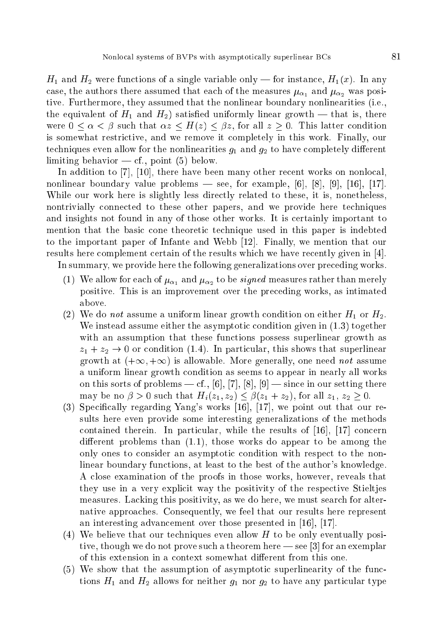$H_1$  and  $H_2$  were functions of a single variable only — for instance,  $H_1(x)$ . In any case, the authors there assumed that each of the measures  $\mu_{\alpha}$ , and  $\mu_{\alpha}$ , was positive. Furthermore, they assumed that the nonlinear boundary nonlinearities (i.e., the equivalent of  $H_1$  and  $H_2$ ) satisfied uniformly linear growth — that is, there were  $0 \lt \alpha \lt \beta$  such that  $\alpha z \lt H(z) \lt \beta z$ , for all  $z > 0$ . This latter condition is somewhat restri
tive, and we remove it ompletely in this work. Finally, our techniques even allow for the nonlinearities  $q_1$  and  $q_2$  to have completely different limiting behavior  $-$  cf., point (5) below.

In addition to [7], [10], there have been many other recent works on nonlocal, nonlinear boundary value problems — see, for example,  $[6]$ ,  $[8]$ ,  $[9]$ ,  $[16]$ ,  $[17]$ . While our work here is slightly less directly related to these, it is, nonetheless, nontrivially onne
ted to these other papers, and we provide here te
hniques and insights not found in any of those other works. It is ertainly important to mention that the basic cone theoretic technique used in this paper is indebted to the important paper of Infante and Webb  $[12]$ . Finally, we mention that our results here complement certain of the results which we have recently given in [4].

In summary, we provide here the following generalizations over preceding works.

- (1) We allow for each of  $\mu_{\alpha_1}$  and  $\mu_{\alpha_2}$  to be *signed* measures rather than merely positive. This is an improvement over the pre
eding works, as intimated above.
- (2) We do not assume a uniform linear growth condition on either  $H_1$  or  $H_2$ . We instead assume either the asymptotic condition given in  $(1.3)$  together with an assumption that these functions possess superlinear growth as  $z_1 + z_2 \rightarrow 0$  or condition (1.4). In particular, this shows that superlinear growth at  $(+\infty, +\infty)$  is allowable. More generally, one need not assume a uniform linear growth ondition as seems to appear in nearly all works on this sorts of problems — cf., [6], [7], [8], [9] — since in our setting there may be no  $\beta > 0$  such that  $H_i(z_1, z_2) \leq \beta(z_1 + z_2)$ , for all  $z_1, z_2 \geq 0$ .
- $(3)$  Specifically regarding Yang's works [16], [17], we point out that our results here even provide some interesting generalizations of the methods contained therein. In particular, while the results of  $[16]$ ,  $[17]$  concern different problems than  $(1.1)$ , those works do appear to be among the only ones to consider an asymptotic condition with respect to the nonlinear boundary fun
tions, at least to the best of the author's knowledge. <sup>A</sup> lose examination of the proofs in those works, however, reveals that they use in a very explicit way the positivity of the respective Stielties measures. Lacking this positivity, as we do here, we must search for alternative approa
hes. Consequently, we feel that our results here represent an interesting advancement over those presented in  $[16]$ ,  $[17]$ .
- (4) We believe that our techniques even allow  $H$  to be only eventually positive, though we do not prove such a theorem here  $\sim$  see [3] for an exemplar of this extension in a context somewhat different from this one.
- (5) We show that the assumption of asymptotic superlinearity of the functions  $H_1$  and  $H_2$  allows for neither  $g_1$  nor  $g_2$  to have any particular type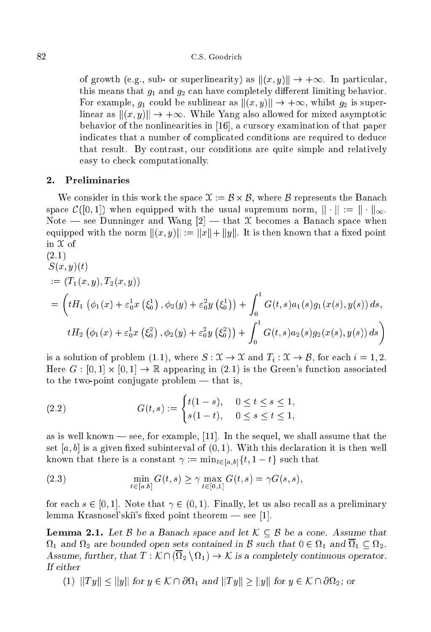of growth (e.g., sub- or superlinearity) as  $||(x, y)|| \rightarrow +\infty$ . In particular, this means that  $g_1$  and  $g_2$  can have completely different limiting behavior. For example,  $g_1$  could be sublinear as  $\|(x, y)\| \to +\infty$ , whilst  $g_2$  is superlinear as  $\|(x, y)\| \to +\infty$ . While Yang also allowed for mixed asymptotic behavior of the nonlinearities in  $[16]$ , a cursory examination of that paper indicates that a number of complicated conditions are required to deduce that result. By ontrast, our onditions are quite simple and relatively easy to he
k omputationally.

## 2. Preliminaries

where in this work the space of the space of the space of the space of the space of the Bana and the Bana and space  $\mathcal{C}([0,1])$  when equipped with the usual supremum norm,  $\|\cdot\| := \|\cdot\|_{\infty}$ . Note — see Dunninger and Wang  $[2]$  — that X becomes a Banach space when equipped with the norm  $||(x, y)|| := ||x|| + ||y||$ . It is then known that a fixed point in  $\mathfrak X$  of  $(9.1)$ 

$$
S(x, y)(t)
$$
  
\n
$$
= (T_1(x, y), T_2(x, y))
$$
  
\n
$$
= \left(tH_1 \left(\phi_1(x) + \varepsilon_0^1 x \left(\xi_0^1\right), \phi_2(y) + \varepsilon_0^2 y \left(\xi_0^1\right)\right) + \int_0^1 G(t, s) a_1(s) g_1(x(s), y(s)) ds,
$$
  
\n
$$
tH_2 \left(\phi_1(x) + \varepsilon_0^1 x \left(\xi_0^2\right), \phi_2(y) + \varepsilon_0^2 y \left(\xi_0^2\right)\right) + \int_0^1 G(t, s) a_2(s) g_2(x(s), y(s)) ds
$$

is a solution of problem (1.1), where  $S: \mathcal{X} \to \mathcal{X}$  and  $T_i : \mathcal{X} \to \mathcal{B}$ , for each  $i = 1, 2$ . Here  $G: [0,1] \times [0,1] \to \mathbb{R}$  appearing in (2.1) is the Green's function associated to the two-point conjugate problem  $-$  that is,

(2.2) 
$$
G(t,s) := \begin{cases} t(1-s), & 0 \le t \le s \le 1, \\ s(1-t), & 0 \le s \le t \le 1, \end{cases}
$$

as is well known — see, for example,  $[11]$ . In the sequel, we shall assume that the set [a, b] is a given fixed subinterval of  $(0,1)$ . With this declaration it is then well known that there is a constant  $\gamma := \min_{t \in [a,b]} \{t, 1-t\}$  such that

(2.3) 
$$
\min_{t \in [a,b]} G(t,s) \ge \gamma \max_{t \in [0,1]} G(t,s) = \gamma G(s,s),
$$

for each  $s \in [0,1]$ . Note that  $\gamma \in (0,1)$ . Finally, let us also recall as a preliminary lemma Krasnosel'skii's fixed point theorem  $-$  see [1].

**Lemma 2.1.** Let  $\beta$  be a Banach space and let  $\mathcal{K} \subset \beta$  be a cone. Assume that <sup>1</sup> and <sup>2</sup> are bounded open sets ontained in <sup>B</sup> su
h that <sup>0</sup> <sup>2</sup> <sup>1</sup> and <sup>1</sup> 2. Assume, further, that <sup>T</sup> : K \ ( <sup>2</sup> <sup>n</sup> 1) ! <sup>K</sup> is <sup>a</sup> ompletely ontinuous operator. If either

 $1 - \mu$  in and kind  $\mu$   $\alpha$  and  $\alpha$  and  $\alpha$  in  $\alpha$  in  $\alpha$  in  $\alpha$  in  $\alpha$  in  $\alpha$  in  $\alpha$  is  $\alpha$  in  $\alpha$  in  $\alpha$  in  $\alpha$  in  $\alpha$  in  $\alpha$  in  $\alpha$  in  $\alpha$  in  $\alpha$  in  $\alpha$  in  $\alpha$  in  $\alpha$  in  $\alpha$  in  $\alpha$  in  $\alpha$  in  $\alpha$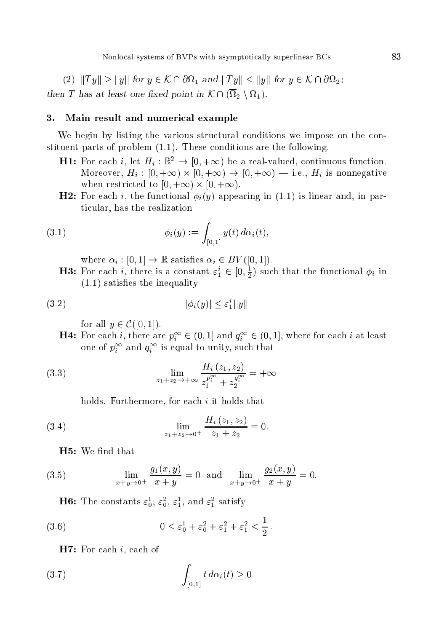Nonlocal systems of BVPs with asymptotically superlinear BCs

 $\lambda \equiv I$  , the  $\sigma$  for  $\alpha$  is a contribution of  $\alpha$  and  $\alpha$  and  $\alpha$  is a contribution of  $\alpha$  is a contribution of  $\alpha$ the contract of the contract of the contract  $\mu$  , then the contract of the contract of the contract of the contract of the contract of the contract of the contract of the contract of the contract of the contract of the c

### 3. Main result and numerical example

We begin by listing the various structural conditions we impose on the constituent parts of problem (1.1). These onditions are the following.

- **H1:** For each *i*, let  $H_i : \mathbb{R}^2 \to [0, +\infty)$  be a real-valued, continuous function. Moreover, Hi : [0; +1) - [0; +1) ! [0; +1) <sup>|</sup> i.e., Hi is nonnegative when restri
ted to [0; +1) - [0; +1).
- **H2:** For each *i*, the functional  $\phi_i(y)$  appearing in (1.1) is linear and, in parti
ular, has the realization

(3.1) 
$$
\phi_i(y) := \int_{[0,1]} y(t) d\alpha_i(t),
$$

where  $\alpha_i : [0, 1] \to \mathbb{R}$  satisfies  $\alpha_i \in BV([0, 1]).$ 

**H3:** For each *i*, there is a constant  $\varepsilon_1^* \in [0, \frac{1}{2})$  such that the functional  $\varphi_i$  in  $(1.1)$  satisfies the inequality

$$
(3.2) \qquad \qquad |\phi_i(y)| \le \varepsilon_1^* \|y\|
$$

for all  $y \in \mathcal{C}([0, 1]).$ 

**H4:** For each i, there are  $p_i^+ \in (0,1]$  and  $q_i^+ \in (0,1]$ , where for each i at least one of  $p_i^-$  and  $q_i^-$  is equal to unity, such that

(3.3) 
$$
\lim_{z_1 + z_2 \to +\infty} \frac{H_i(z_1, z_2)}{z_1^{p^{\infty}_1} + z_2^{q^{\infty}_2}} = +\infty
$$

holds. Furthermore, for each  $i$  it holds that

(3.4) 
$$
\lim_{z_1 + z_2 \to 0^+} \frac{H_i(z_1, z_2)}{z_1 + z_2} = 0.
$$

H5: We find that

(3.5) 
$$
\lim_{x+y\to 0^+} \frac{g_1(x,y)}{x+y} = 0 \text{ and } \lim_{x+y\to 0^+} \frac{g_2(x,y)}{x+y} = 0.
$$

**Ho:** The constants  $\varepsilon_0$ ,  $\varepsilon_0$ ,  $\varepsilon_1$ , and  $\varepsilon_1$  satisfy

(3.6) 
$$
0 \le \varepsilon_0^1 + \varepsilon_0^2 + \varepsilon_1^2 + \varepsilon_1^2 < \frac{1}{2}.
$$

 $\mathbf{H7:}$  For each *i*, each of

$$
\int_{[0,1]} t \, d\alpha_i(t) \ge 0
$$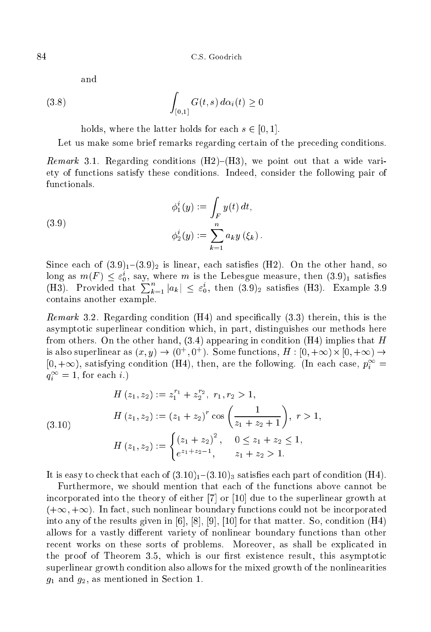and

$$
\int_{[0,1]} G(t,s) d\alpha_i(t) \ge 0
$$

holds, where the latter holds for each  $s \in [0, 1]$ .

Let us make some brief remarks regarding certain of the preceding conditions.

remarks 3.1. Regarding the method of the state vari-state vari-state vari-state vari-state variety of fun
tions satisfy these onditions. Indeed, onsider the following pair of

(3.9) 
$$
\phi_1^i(y) := \int_F y(t) dt,
$$

$$
\phi_2^i(y) := \sum_{k=1}^n a_k y(\xi_k).
$$

Since each of  $(3.9)<sub>1</sub>-(3.9)<sub>2</sub>$  is linear, each satisfies (H2). On the other hand, so long as  $m(r) \leq \varepsilon_0$ , say, where m is the Lebesgue measure, then  $(3.9)_1$  satisfies (H3). Provided that  $\sum_{k=1}^{n} |a_k| \leq \varepsilon_0^i$ , then  $(3.9)_2$  satisfies (H3). Example 3.9 ontains another example.

remark 3.2. Regarding the specific specific the specific specific specific specific specific specific specific asymptotic superlinear condition which, in part, distinguishes our methods here from others. On the other hand,  $(3.4)$  appearing in condition  $(H4)$  implies that H is also superfinear as  $(x, y) \rightarrow (0, 0)$ . Some functions,  $\pi : [0, +\infty) \times [0, +\infty) \rightarrow$  $[0, +\infty)$ , satisfying condition (H4), then, are the following. (In each case,  $p_i^+ =$  $q_i^{\perp} = 1$ , for each  $i$ .)

(3.10)  
\n
$$
H(z_1, z_2) := z_1^{r_1} + z_2^{r_2}, \ r_1, r_2 > 1,
$$
\n
$$
H(z_1, z_2) := (z_1 + z_2)^r \cos\left(\frac{1}{z_1 + z_2 + 1}\right), \ r > 1,
$$
\n
$$
H(z_1, z_2) := \begin{cases} (z_1 + z_2)^2, & 0 \le z_1 + z_2 \le 1, \\ e^{z_1 + z_2 - 1}, & z_1 + z_2 > 1. \end{cases}
$$

It is easy to check that each of  $(3.10)<sub>1</sub>$  – $(3.10)<sub>3</sub>$  satisfies each part of condition (H4).

Furthermore, we should mention that each of the functions above cannot be incorporated into the theory of either  $[7]$  or  $[10]$  due to the superlinear growth at  $(+\infty, +\infty)$ . In fact, such nonlinear boundary functions could not be incorporated into any of the results given in  $[6]$ ,  $[8]$ ,  $[9]$ ,  $[10]$  for that matter. So, condition (H4) allows for a vastly different variety of nonlinear boundary functions than other re
ent works on these sorts of problems. Moreover, as shall be expli
ated in the proof of Theorem 3.5, which is our first existence result, this asymptotic superlinear growth ondition also allows for the mixed growth of the nonlinearities  $g_1$  and  $g_2$ , as mentioned in Section 1.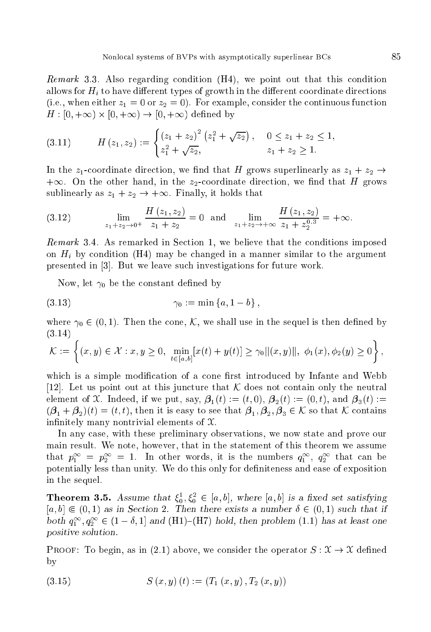Remark 3.3. Also regarding ondition (H4), we point out that this ondition allows for  $H_i$  to have different types of growth in the different coordinate directions (i.e., when either  $z_1 = 0$  or  $z_2 = 0$ ). For example, consider the continuous function H : [0; +1) - [0; +1) ! [0; +1) dened by

$$
(3.11) \t\t H(z_1, z_2) := \begin{cases} (z_1 + z_2)^2 (z_1^2 + \sqrt{z_2}), & 0 \le z_1 + z_2 \le 1, \\ z_1^2 + \sqrt{z_2}, & z_1 + z_2 \ge 1. \end{cases}
$$

In the  $z_1$ -coordinate direction, we find that H grows superlinearly as  $z_1 + z_2 \rightarrow$  $+\infty$ . On the other hand, in the  $z_2$ -coordinate direction, we find that H grows sublinearly as  $z_1 + z_2 \rightarrow +\infty$ . Finally, it holds that

$$
(3.12) \qquad \lim_{z_1 + z_2 \to 0^+} \frac{H(z_1, z_2)}{z_1 + z_2} = 0 \quad \text{and} \quad \lim_{z_1 + z_2 \to +\infty} \frac{H(z_1, z_2)}{z_1 + z_2^{0.3}} = +\infty.
$$

remark 3.4. As remarked in Section 1, we believe the the the the theoretical complete th on  $H_i$  by condition (H4) may be changed in a manner similar to the argument presented in [3]. But we leave such investigations for future work.

Now, let  $\gamma_0$  be the constant defined by

(3.13) 0 := min fa; <sup>1</sup> bg ;

where  $\gamma_0 \in (0,1)$ . Then the cone, K, we shall use in the sequel is then defined by (3.14)

$$
\mathcal{K} := \left\{ (x, y) \in \mathcal{X} : x, y \ge 0, \ \min_{t \in [a, b]} [x(t) + y(t)] \ge \gamma_0 ||(x, y)||, \ \phi_1(x), \phi_2(y) \ge 0 \right\},\
$$

which is a simple modification of a cone first introduced by Infante and Webb [12]. Let us point out at this juncture that K does not contain only the neutral element of X. Indeed, if we put, say,  $\beta_1(t) := (t,0), \beta_2(t) := (0,t)$ , and  $\beta_3(t) :=$  $(\beta_1 + \beta_2)(t) = (t, t)$ , then it is easy to see that  $\beta_1, \beta_2, \beta_3 \in \mathcal{K}$  so that K contains infinitely many nontrivial elements of  $\mathfrak{X}$ .

In any ase, with these preliminary observations, we now state and prove our main result. We note, however, that in the statement of this theorem we assume that  $p_1^-=p_2^-=1$ . In other words, it is the numbers  $q_1^-,~q_2^-$  that can be potentially less than unity. We do this only for definiteness and ease of exposition in the sequel.

**Theorem 3.5.** Assume that  $\xi_0, \xi_0 \in [a, b]$ , where  $[a, b]$  is a fixed set satisfying  $[a, b] \in (0, 1)$  as in Section 2. Then there exists a number  $\delta \in (0, 1)$  such that if both  $q_1^-, q_2^-\in (1-o, 1]$  and  $(H1){-}(H7)$  hold, then problem (1.1) has at least one positive solution.

**PROOF:** To begin, as in (2.1) above, we consider the operator  $S : \mathcal{X} \to \mathcal{X}$  defined by

$$
(3.15) \tS(x,y)(t) := (T_1(x,y), T_2(x,y))
$$

 $\sim$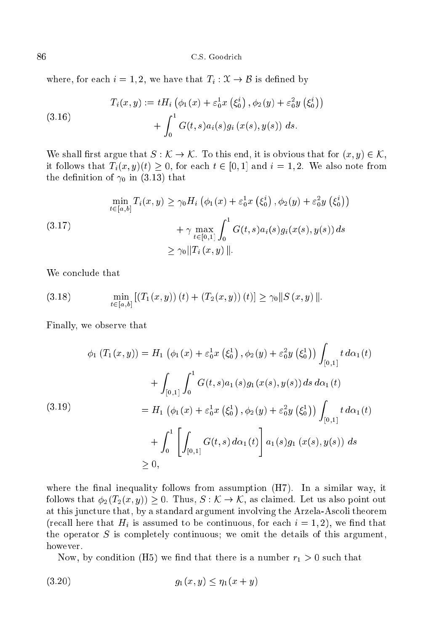where, for each  $i = 1, 2$ , we have that  $T_i : \mathcal{X} \to \mathcal{B}$  is defined by

(3.16) 
$$
T_i(x, y) := tH_i \left( \phi_1(x) + \varepsilon_0^1 x \left( \xi_0^i \right), \phi_2(y) + \varepsilon_0^2 y \left( \xi_0^i \right) \right) + \int_0^1 G(t, s) a_i(s) g_i(x(s), y(s)) ds.
$$

We shall first argue that  $S : \mathcal{K} \to \mathcal{K}$ . To this end, it is obvious that for  $(x, y) \in \mathcal{K}$ , it follows that  $T_i(x, y)(t) \geq 0$ , for each  $t \in [0, 1]$  and  $i = 1, 2$ . We also note from the definition of  $\gamma_0$  in (3.13) that

(3.17)  
\n
$$
\min_{t \in [a,b]} T_i(x, y) \ge \gamma_0 H_i \left( \phi_1(x) + \varepsilon_0^1 x \left( \xi_0^i \right), \phi_2(y) + \varepsilon_0^2 y \left( \xi_0^i \right) \right)
$$
\n
$$
+ \gamma \max_{t \in [0,1]} \int_0^1 G(t, s) a_i(s) g_i(x(s), y(s)) ds
$$
\n
$$
\ge \gamma_0 \| T_i(x, y) \|.
$$

We conclude that

(3.18) 
$$
\min_{t \in [a,b]} [(T_1(x,y)) (t) + (T_2(x,y)) (t)] \ge \gamma_0 ||S (x,y)||.
$$

Finally, we observe that

$$
\phi_1 (T_1(x, y)) = H_1 (\phi_1(x) + \varepsilon_0^1 x (\xi_0^1), \phi_2(y) + \varepsilon_0^2 y (\xi_0^1)) \int_{[0,1]} t \, d\alpha_1(t)
$$
  
+ 
$$
\int_{[0,1]} \int_0^1 G(t, s) a_1(s) g_1(x(s), y(s)) \, ds \, d\alpha_1(t)
$$
  
=  $H_1 (\phi_1(x) + \varepsilon_0^1 x (\xi_0^1), \phi_2(y) + \varepsilon_0^2 y (\xi_0^1)) \int_{[0,1]} t \, d\alpha_1(t)$   
+ 
$$
\int_0^1 \left[ \int_{[0,1]} G(t, s) \, d\alpha_1(t) \right] a_1(s) g_1(x(s), y(s)) \, ds
$$
  
  $\ge 0,$ 

where the final inequality follows from assumption  $(H7)$ . In a similar way, it follows that  $\phi_2(T_2(x, y)) \geq 0$ . Thus,  $S : \mathcal{K} \to \mathcal{K}$ , as claimed. Let us also point out at this jun
ture that, by a standard argument involving the Arzela-As
oli theorem (recall here that  $H_i$  is assumed to be continuous, for each  $i = 1, 2$ ), we find that the operator <sup>S</sup> is ompletely ontinuous; we omit the details of this argument, however.

Now, by condition (H5) we find that there is a number  $r_1 > 0$  such that

$$
(3.20) \t\t\t g_1(x,y) \le \eta_1(x+y)
$$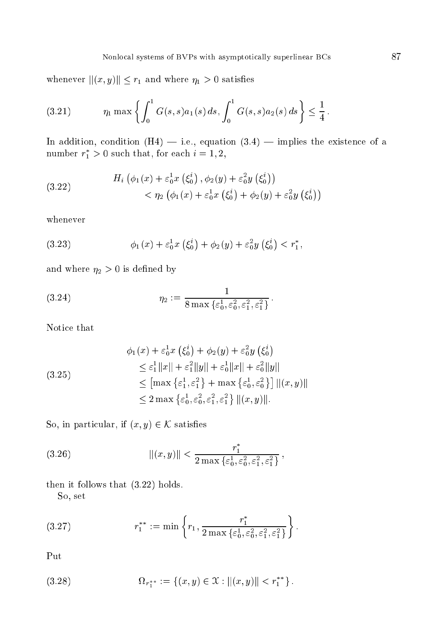whenever  $||(x, y)|| \leq r_1$  and where  $\eta_1 > 0$  satisfies

(3.21) 
$$
\eta_1 \max \left\{ \int_0^1 G(s,s) a_1(s) ds, \int_0^1 G(s,s) a_2(s) ds \right\} \leq \frac{1}{4}.
$$

In addition, condition  $(H4)$  - i.e., equation  $(3.4)$  - implies the existence of a number  $r_1 > 0$  such that, for each  $i = 1, 2,$ 

(3.22) 
$$
H_i\left(\phi_1(x) + \varepsilon_0^1 x\left(\xi_0^i\right), \phi_2(y) + \varepsilon_0^2 y\left(\xi_0^i\right)\right) < \eta_2\left(\phi_1(x) + \varepsilon_0^1 x\left(\xi_0^i\right) + \phi_2(y) + \varepsilon_0^2 y\left(\xi_0^i\right)\right)
$$

whenever

(3.23) 
$$
\phi_1(x) + \varepsilon_0^1 x \left( \xi_0^i \right) + \phi_2(y) + \varepsilon_0^2 y \left( \xi_0^i \right) < r_1^*,
$$

and where  $\eta_2 > 0$  is defined by

(3.24) 
$$
\eta_2 := \frac{1}{8 \max \{ \varepsilon_0^1, \varepsilon_0^2, \varepsilon_1^2, \varepsilon_1^2 \}}
$$

Notice that

$$
\phi_1(x) + \varepsilon_0^1 x \left( \xi_0^i \right) + \phi_2(y) + \varepsilon_0^2 y \left( \xi_0^i \right)
$$
  
\n
$$
\leq \varepsilon_1^1 \|x\| + \varepsilon_1^2 \|y\| + \varepsilon_0^1 \|x\| + \varepsilon_0^2 \|y\|
$$
  
\n
$$
\leq \left[ \max \left\{ \varepsilon_1^1, \varepsilon_1^2 \right\} + \max \left\{ \varepsilon_0^1, \varepsilon_0^2 \right\} \right] \| (x, y) \|
$$
  
\n
$$
\leq 2 \max \left\{ \varepsilon_0^1, \varepsilon_0^2, \varepsilon_1^2, \varepsilon_1^2 \right\} \| (x, y) \|.
$$

So, in particular, if  $(x, y) \in \mathcal{K}$  satisfies

(3.26) 
$$
\| (x, y) \| < \frac{r_1^*}{2 \max \{ \varepsilon_0^1, \varepsilon_0^2, \varepsilon_1^2, \varepsilon_1^2 \}},
$$

then it follows that (3.22) holds.

So, set

(3.27) 
$$
r_1^{**} := \min \left\{ r_1, \frac{r_1^*}{2 \max \{ \varepsilon_0^1, \varepsilon_0^2, \varepsilon_1^2, \varepsilon_1^2 \}} \right\}.
$$

Put

(3.28) 
$$
\Omega_{r_1^{**}} := \{(x, y) \in \mathcal{X} : ||(x, y)|| < r_1^{**} \}.
$$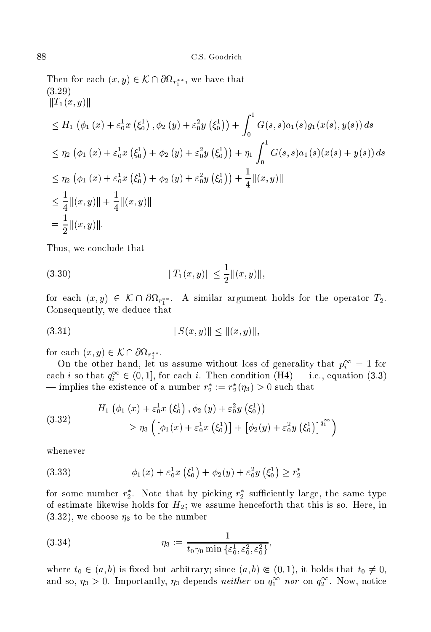$\sum_{i=1}^{n}$  for each  $\{w, y\} \subset \mathcal{W}$  for early the finite that (3.29)  $||T_1(x, y)||$  $\overline{\phantom{a}}$  $\varphi_1(x) + \varepsilon_0 x$  $\overline{\phantom{a}}$  $\zeta_0$  $\sim$  $, \varphi_2(y) + \varepsilon_0^y$ - - $\zeta_0$  $\sqrt{2}$ +  $\sim$  1  $G: \{x - 1, y - 1, y - 1, z, y + 1, z + 1, z, y + 1, z + 1, z\}$ 22.24  $\overline{\phantom{a}}$  $\varphi_1(x) + \varepsilon_0 x$  $\overline{\phantom{a}}$  $\varsigma_0$  $\sim$  $+ \varphi_2(y) + \varepsilon_0 y$ - - $\zeta_0$  $\mathcal{L}$ <sup>+</sup> 1  $\int$  $G(x, y, z) = f(x, y, z)$  ,  $G(x, y, z) = f(x, y, z)$ 22.24  $\varphi_1(x) + \varepsilon_0 x$  $\varsigma_0$  $\sim$  $+ \varphi_2(y) + \varepsilon_0^y$  $\zeta_0$  $\mathcal{L}$  $+ - ||(x, y)||$  $\leq -||(x, y)|| + - ||(x, y)||$  $= -|| (x, y)||.$ 

Thus, we on
lude that

(3.30) kT1(x; y)k k(x; y)k;

for each  $\{w, y\} \subset \mathcal{W}$  for  $r_x$  is similar argument holds for the operator  $\pm_2$ . e o see the decree that we deduce the seeds of the second terms of the second terms of the second terms of the

$$
(3.31) \t\t\t\t||S(x,y)|| \le ||(x,y)||,
$$

 $\lim_{x \to \infty} \frac{f(x, y)}{g(x, y)} \leq \lim_{x \to \infty} \frac{f(x, y)}{g(x, y)}$ 

On the other hand, let us assume without loss of generality that  $p_i^{\infty} = 1$  for each i so that  $q_i^+ \in (0,1]$ , for each i. Then condition  $(\texttt{n4}) \rightarrow$  i.e., equation  $(3.3)$ — implies the existence of a number  $r_2 := r_2(\eta_3) > 0$  such that

(3.32) 
$$
H_1 \left( \phi_1 \left( x \right) + \varepsilon_0^1 x \left( \xi_0^1 \right), \phi_2 \left( y \right) + \varepsilon_0^2 y \left( \xi_0^1 \right) \right) \\
\geq \eta_3 \left( \left[ \phi_1 \left( x \right) + \varepsilon_0^1 x \left( \xi_0^1 \right) \right] + \left[ \phi_2 \left( y \right) + \varepsilon_0^2 y \left( \xi_0^1 \right) \right]^{q_1^{\infty}} \right)
$$

whenever

(3.33) 
$$
\phi_1(x) + \varepsilon_0^1 x \left( \xi_0^1 \right) + \phi_2(y) + \varepsilon_0^2 y \left( \xi_0^1 \right) \ge r_2^*
$$

for some number  $r_2$ . Note that by picking  $r_2$  sumclently large, the same type of estimate likewise holds for  $H_2$ ; we assume henceforth that this is so. Here, in  $(3.32)$ , we choose  $\eta_3$  to be the number

(3.34) 
$$
\eta_3 := \frac{1}{t_0 \gamma_0 \min \{ \varepsilon_0^1, \varepsilon_0^2, \varepsilon_0^2 \}},
$$

where  $t_0 \in (a, b)$  is fixed but arbitrary; since  $(a, b) \in (0, 1)$ , it holds that  $t_0 \neq 0$ , and so,  $\eta_3 > 0$ . Importantly,  $\eta_3$  depends *neither* on  $q_1^\ast$  *nor* on  $q_2^\ast$ . Now, notice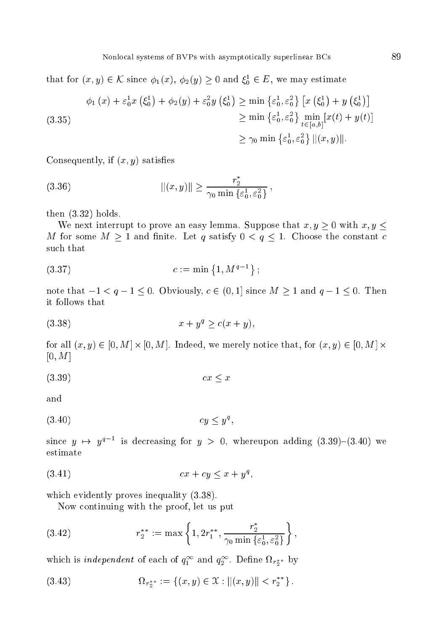that for  $(x, y) \in \mathcal{K}$  since  $\varphi_1(x), \varphi_2(y) \geq 0$  and  $\zeta_0 \in \mathcal{L}$ , we may estimate

$$
\phi_1(x) + \varepsilon_0^1 x \left( \xi_0^1 \right) + \phi_2(y) + \varepsilon_0^2 y \left( \xi_0^1 \right) \ge \min \left\{ \varepsilon_0^1, \varepsilon_0^2 \right\} \left[ x \left( \xi_0^1 \right) + y \left( \xi_0^1 \right) \right] \\
\ge \min \left\{ \varepsilon_0^1, \varepsilon_0^2 \right\} \min_{t \in [a, b]} \left[ x(t) + y(t) \right] \\
\ge \gamma_0 \min \left\{ \varepsilon_0^1, \varepsilon_0^2 \right\} ||(x, y)||.
$$

Consequently, if  $(x, y)$  satisfies

(3.36) 
$$
\| (x, y) \| \geq \frac{r_2^*}{\gamma_0 \min \{ \varepsilon_0^1, \varepsilon_0^2 \}},
$$

then (3.32) holds.

We next interrupt to prove an easy lemma. Suppose that  $x, y \ge 0$  with  $x, y \le 0$ M for some <sup>M</sup> <sup>1</sup> and nite. Let <sup>q</sup> satisfy <sup>0</sup> <sup>&</sup>lt; <sup>q</sup> 1. Choose the onstant such that

$$
(3.37) \t\t c := \min\{1, M^{q-1}\};
$$

note that  $-1 < q-1 \leq 0$ . Obviously,  $c \in (0,1]$  since  $M \geq 1$  and  $q-1 \leq 0$ . Then it follows that

$$
(3.38) \t\t x + y^q \ge c(x + y),
$$

for all (x; y) 2 [0; Mt - [0; Mt - ] . See that, we see that, see that, for (x; y) 2 [0; Mt - ] . .  $[0, M]$ 

$$
(3.39) \t\t cx \le x
$$

and

$$
(3.40) \t\t\t cy \leq y^q
$$

since  $y \mapsto y^*$  is decreasing for  $y > 0$ , whereupon adding (3.39)=(3.40) we estimate

$$
(3.41) \t\t cx + cy \le x + y^q,
$$

which evidently proves inequality  $(3.38)$ .

Now ontinuing with the proof, let us put

(3.42) 
$$
r_2^{**} := \max\left\{1, 2r_1^{**}, \frac{r_2^*}{\gamma_0 \min\{\varepsilon_0^1, \varepsilon_0^2\}}\right\},
$$

which is *independent* of each of  $q_1^*$  and  $q_2^*$ . Define  $\Omega_{r_2^*}$  by

(3.43) 
$$
\Omega_{r_2^{**}} := \{(x, y) \in \mathcal{X} : ||(x, y)|| < r_2^{**} \}.
$$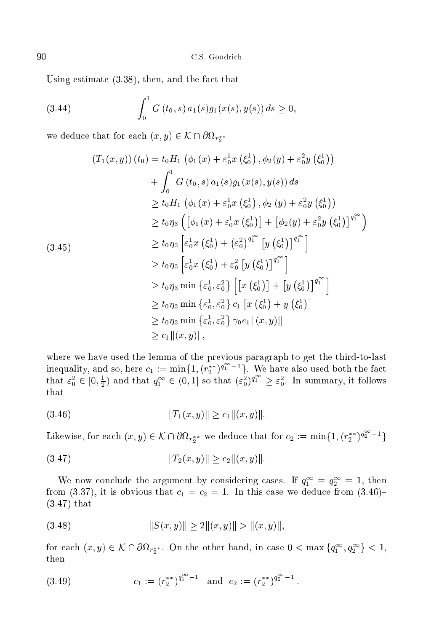Using estimate  $(3.38)$ , then, and the fact that

(3.44) 
$$
\int_0^1 G(t_0,s) a_1(s) g_1(x(s),y(s)) ds \geq 0,
$$

we deduce that for each  $(w, y) \in \mathcal{N}$  reserve

$$
(T_1(x, y)) (t_0) = t_0 H_1 (\phi_1(x) + \varepsilon_0^1 x (\xi_0^1), \phi_2(y) + \varepsilon_0^2 y (\xi_0^1))
$$
  
+  $\int_0^1 G(t_0, s) a_1(s) g_1(x(s), y(s)) ds$   
 $\geq t_0 H_1 (\phi_1(x) + \varepsilon_0^1 x (\xi_0^1), \phi_2(y) + \varepsilon_0^2 y (\xi_0^1))$   
 $\geq t_0 \eta_3 \left[ [\phi_1(x) + \varepsilon_0^1 x (\xi_0^1)] + [\phi_2(y) + \varepsilon_0^2 y (\xi_0^1)]^{q_1^{\infty}} \right]$   
 $\geq t_0 \eta_3 \left[ \varepsilon_0^1 x (\xi_0^1) + (\varepsilon_0^2)^{q_1^{\infty}} \left[ y (\xi_0^1) \right]^{q_1^{\infty}} \right]$   
 $\geq t_0 \eta_3 \left[ \varepsilon_0^1 x (\xi_0^1) + \varepsilon_0^2 \left[ y (\xi_0^1) \right]^{q_1^{\infty}} \right]$   
 $\geq t_0 \eta_3 \min \left\{ \varepsilon_0^1, \varepsilon_0^2 \right\} \left[ \left[ x (\xi_0^1) \right] + \left[ y (\xi_0^1) \right]^{q_1^{\infty}} \right]$   
 $\geq t_0 \eta_3 \min \left\{ \varepsilon_0^1, \varepsilon_0^2 \right\} c_1 \left[ x (\xi_0^1) + y (\xi_0^1) \right]$   
 $\geq t_0 \eta_3 \min \left\{ \varepsilon_0^1, \varepsilon_0^2 \right\} \gamma_0 c_1 ||(x, y)||$   
 $\geq c_1 ||(x, y)||,$ 

where we have used the lemma of the previous paragraph to get the previous paragraph to get the third-to-last inequality, and so, here  $c_1 := \min\{1, (r_2^{**})^{q_1^- - 1}\}\.$  We have also used both the fact that  $\varepsilon_0^2 \in [0, \frac{1}{2})$  and that  $q_1^{\infty} \in (0, 1]$  so that  $(\varepsilon_0^2)^{q_1} \geq \varepsilon_0^2$ . In summary, it follows that

$$
(3.46) \t\t\t\t ||T_1(x,y)|| \ge c_1 ||(x,y)||.
$$

Likewise, for each  $(x, y) \in \mathcal{K} \cap \partial \Omega_{r_2^{**}}$  we deduce that for  $c_2 := \min\{1, (r_2^{**})^{q_2^- - 1}\}$ 

(3.47) kT2(x; y)k 2k(x; y)k:

We now conclude the argument by considering cases. If  $q_1^+ = q_2^- = 1$ , then from (3.37), it is obvious that  $c_1 = c_2 = 1$ . In this case we deduce from (3.46)-(3.47) that

$$
(3.48) \t\t\t\t||S(x,y)|| \ge 2||(x,y)|| > ||(x,y)||,
$$

for each  $(x, y) \in \mathcal{N} \cap \mathcal{O}\Omega_{r_2^{**}}$ . On the other hand, in case  $0 < \max\left\{q_1^-, q_2^-\right\} < 1$ , then

(3.49) 
$$
c_1 := (r_2^{**})^{q_1^{\infty}-1} \text{ and } c_2 := (r_2^{**})^{q_2^{\infty}-1}.
$$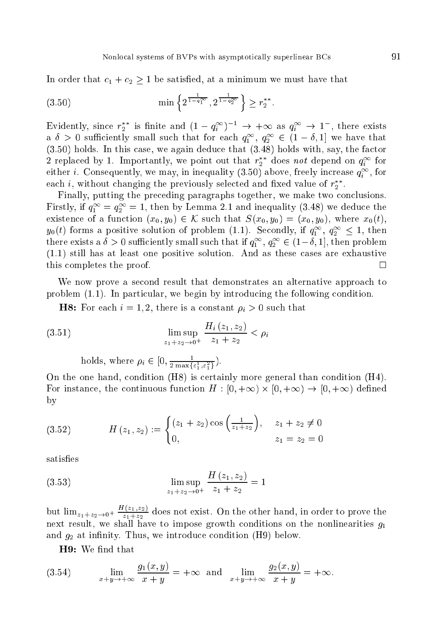In order that  $c_1 + c_2 \geq 1$  be satisfied, at a minimum we must have that

$$
(3.50) \t\min\left\{2^{\frac{1}{1-q_1^{\infty}}}, 2^{\frac{1}{1-q_2^{\infty}}}\right\} \geq r_2^{**}.
$$

Evidently, since  $r_2$  is finite and  $(1 - q_i)$   $\rightarrow +\infty$  as  $q_i \rightarrow 1$ , there exists a  $\sigma > 0$  sumertly small such that for each  $q_1^-, q_2^- \in (1 - \sigma, 1]$  we have that (3.50) holds. In this ase, we again dedu
e that (3.48) holds with, say, the fa
tor 2 replaced by 1. Importantly, we point out that  $r_2$  does not depend on  $q_i^*$  for either *i*. Consequently, we may, in inequality (3.50) above, freely increase  $q_i^{\infty}$ , for each *i*, without changing the previously selected and fixed value of  $r_2$ .

Finally, putting the preceding paragraphs together, we make two conclusions. Firstly, if  $q_1 = q_2 = 1$ , then by Lemma 2.1 and inequality (5.48) we deduce the existence of a function  $(x_0, y_0) \in K$  such that  $S(x_0, y_0) = (x_0, y_0)$ , where  $x_0(t)$ ,  $y_0(t)$  forms a positive solution of problem (1.1). Secondly, if  $q_1^-, q_2^-\leq 1$ , then there exists a  $\delta > 0$  sumciently small such that if  $q_1^-, q_2^- \in (1-\delta,1],$  then problem  $(1.1)$  still has at least one positive solution. And as these cases are exhaustive this completes the proof.

We now prove a second result that demonstrates an alternative approach to problem  $(1.1)$ . In particular, we begin by introducing the following condition.

**H8:** For each  $i = 1, 2$ , there is a constant  $\rho_i > 0$  such that

(3.51) 
$$
\limsup_{z_1+z_2 \to 0^+} \frac{H_i(z_1, z_2)}{z_1 + z_2} < \rho_i
$$

holds, where  $\rho_i \in [0, \frac{1}{2 \max\{\varepsilon_1^1, \varepsilon_1^2\}})$ .

On the one hand, condition (H8) is certainly more general than condition (H4). For instan
e, the ontinuous fun
tion <sup>H</sup> : [0; +1) - [0; +1) ! [0; +1) dened by

(3.52) 
$$
H(z_1, z_2) := \begin{cases} (z_1 + z_2) \cos\left(\frac{1}{z_1 + z_2}\right), & z_1 + z_2 \neq 0 \\ 0, & z_1 = z_2 = 0 \end{cases}
$$

satisfies

(3.53) 
$$
\limsup_{z_1 + z_2 \to 0^+} \frac{H(z_1, z_2)}{z_1 + z_2} = 1
$$

but  $\lim_{z_1+z_2\to 0^+} \frac{z_1+z_2}{z_1+z_2}$  does not exist. On the other hand, in order to prove the next result, we shall have to impose growth conditions on the nonlinearities  $g_1$ and  $g_2$  at infinity. Thus, we introduce condition (H9) below.

H9: We find that

(3.54) 
$$
\lim_{x+y \to +\infty} \frac{g_1(x,y)}{x+y} = +\infty \text{ and } \lim_{x+y \to +\infty} \frac{g_2(x,y)}{x+y} = +\infty.
$$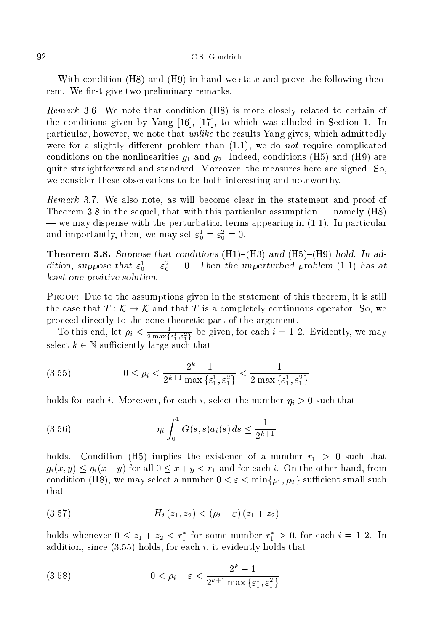With condition (H8) and (H9) in hand we state and prove the following theorem. We first give two preliminary remarks.

remarks yivi its more thank computed that  $\{m\}$  is more that  $\{1, 1, 2, \ldots, n\}$  is the computer the conditions given by Yang  $[16]$ ,  $[17]$ , to which was alluded in Section 1. In particular, however, we note that *unlike* the results Yang gives, which admittedly were for a slightly different problem than  $(1.1)$ , we do *not* require complicated conditions on the nonlinearities  $g_1$  and  $g_2$ . Indeed, conditions (H5) and (H9) are quite straightforward and standard. Moreover, the measures here are signed. So, we consider these observations to be both interesting and noteworthy.

Remark 3.7. We also note, as will be
ome lear in the statement and proof of Theorem 3.8 in the sequel, that with this particular assumption — namely  $(H8)$  $-\infty$  may dispense with the perturbation terms appearing in  $(1.1)$ . In particular and importantly, then, we may set  $\varepsilon_0^+ = \varepsilon_0^- = 0.$ 

**Theorem 3.8.** Suppose that conditions  $(H1)-(H3)$  and  $(H5)-(H9)$  hold. In addition, suppose that  $\varepsilon_0^+ = \varepsilon_0^- = 0$ . Then the unperturbed problem (1.1) has at least one positive solution.

Proof: Due to the assumptions given in the statement of this theorem, it is still the case that  $T: \mathcal{K} \to \mathcal{K}$  and that T is a completely continuous operator. So, we pro
eed dire
tly to the one theoreti part of the argument.

10 this end, let  $\rho_i < \frac{1}{2 \max\{\varepsilon_1^1, \varepsilon_1^2\}}$  be given, for each  $i = 1, 2$ . Evidently, we may select  $k \in \mathbb{N}$  sufficiently large such that

$$
(3.55) \t\t 0 \le \rho_i < \frac{2^k - 1}{2^{k+1} \max\{\varepsilon_1^1, \varepsilon_1^2\}} < \frac{1}{2 \max\{\varepsilon_1^1, \varepsilon_1^2\}}
$$

holds for each *i*. Moreover, for each *i*, select the number  $\eta_i > 0$  such that

(3.56) 
$$
\eta_i \int_0^1 G(s,s) a_i(s) ds \leq \frac{1}{2^{k+1}}
$$

holds. Condition (H5) implies the existence of a number  $r_1 > 0$  such that  $g_i(x, y) \leq \eta_i(x + y)$  for all  $0 \leq x + y < r_1$  and for each i. On the other hand, from condition (H8), we may select a number  $0 < \varepsilon < \min\{\rho_1, \rho_2\}$  sufficient small such that

(3.57) 
$$
H_i(z_1, z_2) < (\rho_i - \varepsilon)(z_1 + z_2)
$$

holds whenever  $0 \leq z_1 + z_2 < r_1$  for some number  $r_1 > 0$ , for each  $i = 1, 2$ . In addition, since  $(3.55)$  holds, for each i, it evidently holds that

(3.58) 
$$
0 < \rho_i - \varepsilon < \frac{2^k - 1}{2^{k+1} \max{\{\varepsilon_1^1, \varepsilon_1^2\}}}.
$$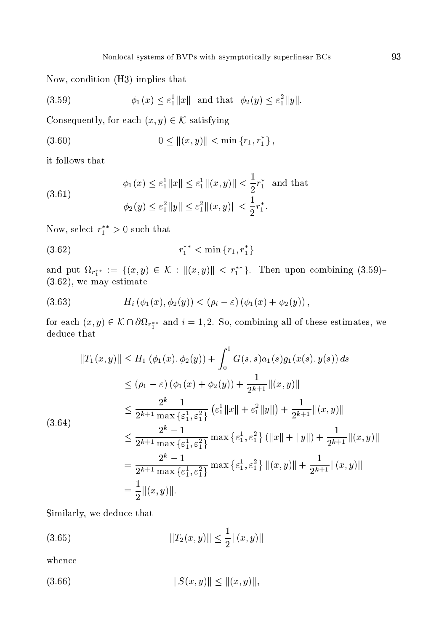Now, ondition (H3) implies that

$$
(3.59) \t\t \phi_1(x) \le \varepsilon_1^1 \|x\| \text{ and that } \phi_2(y) \le \varepsilon_1^2 \|y\|.
$$

Consequently, for each  $(x, y) \in \mathcal{K}$  satisfying

$$
(3.60) \t\t 0 \le ||(x, y)|| < \min \{r_1, r_1^*\},
$$

it follows that

(3.61) 
$$
\phi_1(x) \le \varepsilon_1^1 ||x|| \le \varepsilon_1^1 ||(x, y)|| < \frac{1}{2} r_1^* \text{ and that}
$$

$$
\phi_2(y) \le \varepsilon_1^2 ||y|| \le \varepsilon_1^2 ||(x, y)|| < \frac{1}{2} r_1^*.
$$

row, select  $r_1 > 0$  such that

(3.62) <sup>r</sup> <sup>1</sup> <sup>&</sup>lt; min fr1; r <sup>1</sup> <sup>g</sup>

and put  $\Omega_{r_1^{**}} := \{ (x, y) \in \mathcal{N} : ||(x, y)|| \leq r_1 \}$ . Then upon combining (3.59)- $\alpha$  . The matrix of the matrix  $\alpha$ 

(3.63) 
$$
H_i(\phi_1(x), \phi_2(y)) < (\rho_i - \varepsilon) (\phi_1(x) + \phi_2(y)),
$$

for each  $(x, y) \in \mathcal{N} \cap \text{Cov}_{T_1}$  and  $\ell = 1$ , so, combining an of these estimates, we deduce that

$$
||T_1(x, y)|| \le H_1(\phi_1(x), \phi_2(y)) + \int_0^1 G(s, s)a_1(s)g_1(x(s), y(s)) ds
$$
  
\n
$$
\le (\rho_1 - \varepsilon)(\phi_1(x) + \phi_2(y)) + \frac{1}{2^{k+1}}||(x, y)||
$$
  
\n
$$
\le \frac{2^k - 1}{2^{k+1} \max{\{\varepsilon_1^1, \varepsilon_1^2\}}} (\varepsilon_1^1 ||x|| + \varepsilon_1^2 ||y||) + \frac{1}{2^{k+1}}||(x, y)||
$$
  
\n
$$
\le \frac{2^k - 1}{2^{k+1} \max{\{\varepsilon_1^1, \varepsilon_1^2\}}} \max{\{\varepsilon_1^1, \varepsilon_1^2\}} (||x|| + ||y||) + \frac{1}{2^{k+1}}||(x, y)||
$$
  
\n
$$
= \frac{2^k - 1}{2^{k+1} \max{\{\varepsilon_1^1, \varepsilon_1^2\}}} \max{\{\varepsilon_1^1, \varepsilon_1^2\}} ||(x, y)|| + \frac{1}{2^{k+1}} ||(x, y)||
$$
  
\n
$$
= \frac{1}{2} ||(x, y)||.
$$

Similarly, we dedu
e that

(3.65) kT2(x; y)k k(x; y)k

when
e

 $(3)$ 

$$
(3.66) \t\t\t ||S(x,y)|| \le ||(x,y)||,
$$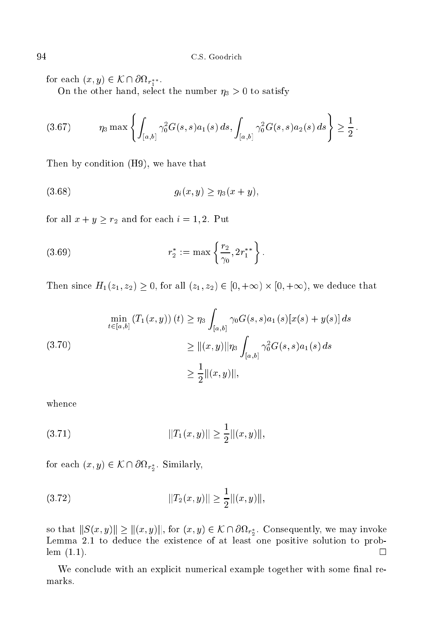$\lim_{x \to \infty} \frac{f(x, y)}{g(x, y)} \leq \lim_{x \to \infty} \frac{f(x, y)}{g(x, y)}$ 

 $\sim$  0 to select the selection of the number  $\sim$   $\sim$   $\sim$  0 to satisfy

$$
(3.67) \qquad \eta_3 \max\left\{ \int_{[a,b]} \gamma_0^2 G(s,s) a_1(s) \, ds, \int_{[a,b]} \gamma_0^2 G(s,s) a_2(s) \, ds \right\} \ge \frac{1}{2}
$$

Then by condition (H9), we have that

(3.68) 
$$
g_i(x, y) \geq \eta_3(x + y),
$$

for all  $x + y \geq r_2$  and for each  $i = 1, 2$ . Put

(3.69) 
$$
r_2^* := \max \left\{ \frac{r_2}{\gamma_0}, 2r_1^{**} \right\}.
$$

Then since the H1(z1;  $\alpha$ )  $\alpha$  is the form  $\alpha$  (z1;  $\alpha$ )  $\alpha$  (z1;  $\alpha$  (z1;  $\alpha$  ) is that we define

(3.70)  
\n
$$
\min_{t \in [a,b]} (T_1(x,y)) (t) \ge \eta_3 \int_{[a,b]} \gamma_0 G(s,s) a_1(s) [x(s) + y(s)] ds
$$
\n
$$
\ge ||(x,y)||\eta_3 \int_{[a,b]} \gamma_0^2 G(s,s) a_1(s) ds
$$
\n
$$
\ge \frac{1}{2} ||(x,y)||,
$$

when
e

(3.71) kT1(x; y)k k(x; y)k;

for each  $(x, y) \in \mathcal{W}$  for  $y$ , similarly,

(3.72) kT2(x; y)k k(x; y)k;

 $-$ 

so that  $||\phi(x,y)|| \le ||(x,y)||$ , for  $(x,y) \in \mathcal{N}$  is easy. Consequently, we may invoid Lemma 2.1 to dedu
e the existen
e of at least one positive solution to problem (1.1).  $\Box$ 

We conclude with an explicit numerical example together with some final re-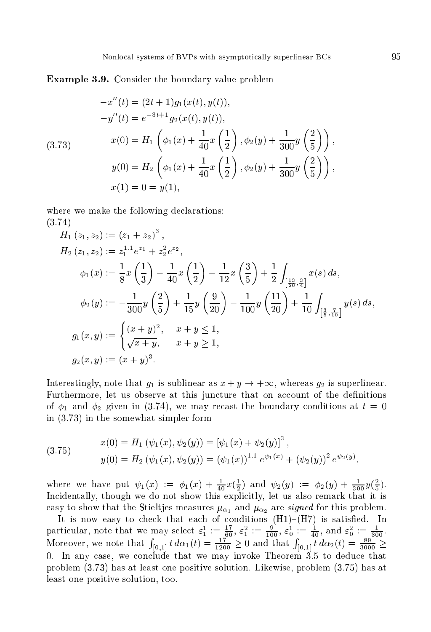Example 3.9. Consider the boundary value problem

$$
-x''(t) = (2t+1)g_1(x(t), y(t)),
$$
  
\n
$$
-y''(t) = e^{-3t+1}g_2(x(t), y(t)),
$$
  
\n(3.73) 
$$
x(0) = H_1\left(\phi_1(x) + \frac{1}{40}x\left(\frac{1}{2}\right), \phi_2(y) + \frac{1}{300}y\left(\frac{2}{5}\right)\right),
$$
  
\n
$$
y(0) = H_2\left(\phi_1(x) + \frac{1}{40}x\left(\frac{1}{2}\right), \phi_2(y) + \frac{1}{300}y\left(\frac{2}{5}\right)\right),
$$
  
\n
$$
x(1) = 0 = y(1),
$$

where we make the following declarations: (3.74)

$$
H_1(z_1, z_2) := (z_1 + z_2)^3,
$$
  
\n
$$
H_2(z_1, z_2) := z_1^{1.1} e^{z_1} + z_2^2 e^{z_2},
$$
  
\n
$$
\phi_1(x) := \frac{1}{8} x \left(\frac{1}{3}\right) - \frac{1}{40} x \left(\frac{1}{2}\right) - \frac{1}{12} x \left(\frac{3}{5}\right) + \frac{1}{2} \int_{\left[\frac{13}{20}, \frac{3}{4}\right]} x(s) ds,
$$
  
\n
$$
\phi_2(y) := -\frac{1}{300} y \left(\frac{2}{5}\right) + \frac{1}{15} y \left(\frac{9}{20}\right) - \frac{1}{100} y \left(\frac{11}{20}\right) + \frac{1}{10} \int_{\left[\frac{3}{5}, \frac{7}{10}\right]} y(s) ds,
$$
  
\n
$$
g_1(x, y) := \begin{cases} (x + y)^2, & x + y \le 1, \\ \sqrt{x + y}, & x + y \ge 1, \end{cases}
$$
  
\n
$$
g_2(x, y) := (x + y)^3.
$$

Interestingly, note that  $g_1$  is sublinear as  $x + y \rightarrow +\infty$ , whereas  $g_2$  is superlinear. Furthermore, let us observe at this juncture that on account of the definitions of  $\phi_1$  and  $\phi_2$  given in (3.74), we may recast the boundary conditions at  $t = 0$ in (3.73) in the somewhat simpler form

(3.75) 
$$
x(0) = H_1(\psi_1(x), \psi_2(y)) = [\psi_1(x) + \psi_2(y)]^3,
$$

$$
y(0) = H_2(\psi_1(x), \psi_2(y)) = (\psi_1(x))^{1.1} e^{\psi_1(x)} + (\psi_2(y))^{2} e^{\psi_2(y)}
$$

where we have put  $\psi_1(x) := \psi_1(x) + \frac{1}{40}x(\frac{1}{2})$  and  $\psi_2(y) := \psi_2(y) + \frac{1}{300}y(\frac{1}{5})$ . interacting, the system we do not show the separately, and show the complete that it is a easy to show that the Stieltjes measures  $\mu_{\alpha_1}$  and  $\mu_{\alpha_2}$  are signed for this problem.

It is now easy to the easy to the easy to the easy to the easy of  $\mathcal{H}^{\mathcal{A}}(A)$  is satisfied. particular, note that we may select  $\varepsilon_1^* := \frac{2}{60}$ ,  $\varepsilon_1^* := \frac{17}{100}$ ,  $\varepsilon_0^* := \frac{4}{40}$ , and  $\varepsilon_0^* := \frac{89}{300}$ .<br>Moreover, we note that  $\int_{[0,1]} t \, d\alpha_1(t) = \frac{17}{1200} \geq 0$  and that  $\int_{[0,1]} t \, d\alpha_2(t) = \frac{89}{3$ 0. In any case, we conclude that we may invoke Theorem 3.5 to deduce that problem (3.73) has at least one positive solution. Likewise, problem (3.75) has at least one positive solution, too.

;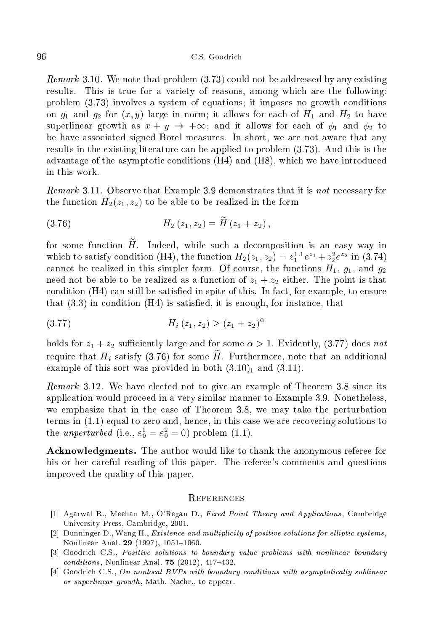Remark 3.10. We note that problem (3.73) ould not be addressed by any existing results. This is true for a variety of reasons, among whi
h are the following: problem (3.73) involves a system of equations; it imposes no growth onditions on  $g_1$  and  $g_2$  for  $(x, y)$  large in norm; it allows for each of  $H_1$  and  $H_2$  to have superlinear growth as  $x + y \rightarrow +\infty$ ; and it allows for each of  $\phi_1$  and  $\phi_2$  to be have asso
iated signed Borel measures. In short, we are not aware that any results in the existing literature an be applied to problem (3.73). And this is the advantage of the asymptotic conditions  $(H4)$  and  $(H8)$ , which we have introduced in this work.

Remark 3.11. Observe that Example 3.9 demonstrates that it is not ne
essary for the function  $H_2(z_1, z_2)$  to be able to be realized in the form

$$
(3.76) \t\t H_2(z_1, z_2) = H(z_1 + z_2),
$$

for some function  $\widetilde{H}$ . Indeed, while such a decomposition is an easy way in which to satisfy condition (H4), the function  $H_2(z_1, z_2) = z_1^{z_1}e^{z_1} + z_2e^{z_2}$  in (3.74) cannot be realized in this simpler form. Of course, the functions  $H_1$ ,  $g_1$ , and  $g_2$ need not be able to be realized as a function of  $z_1 + z_2$  either. The point is that condition  $(H4)$  can still be satisfied in spite of this. In fact, for example, to ensure that  $(3.3)$  in condition  $(H4)$  is satisfied, it is enough, for instance, that

$$
(3.77) \t\t H_i(z_1, z_2) \ge (z_1 + z_2)^{\alpha}
$$

holds for  $z_1 + z_2$  sufficiently large and for some  $\alpha > 1$ . Evidently, (3.77) does not require that  $H_i$  satisfy (3.76) for some  $\widetilde{H}$ . Furthermore, note that an additional example of this sort was provided in both  $(3.10)<sub>1</sub>$  and  $(3.11)$ .

remarks 3.12. We have elected to the its single of the single of the single of the single of the single of the appli
ation would pro
eed in a very similar manner to Example 3.9. Nonetheless, we emphasize that in the ase of Theorem 3.8, we may take the perturbation terms in  $(1.1)$  equal to zero and, hence, in this case we are recovering solutions to the *unperturbed* (i.e.,  $\varepsilon_0 = \varepsilon_0 = 0$ ) problem (1.1).

A
knowledgments. The author would like to thank the anonymous referee for his or her careful reading of this paper. The referee's comments and questions improved the quality of this paper.

#### **REFERENCES**

- [1] Agarwal R., Meehan M., O'Regan D., Fixed Point Theory and Applications, Cambridge University Press, Cambridge, 2001.
- [2] Dunninger D., Wang H., *Existence and multiplicity of positive solutions for elliptic systems*, Nonlinear Anal. 29 (1997), 1051-1060.
- [3] Goodrich C.S., Positive solutions to boundary value problems with nonlinear boundary  $conditions$ , Nonlinear Anal. 75 (2012), 417-432.
- [4] Goodrich C.S., On nonlocal BVPs with boundary conditions with asymptotically sublinear or superlinear growth, Math. Nachr., to appear.